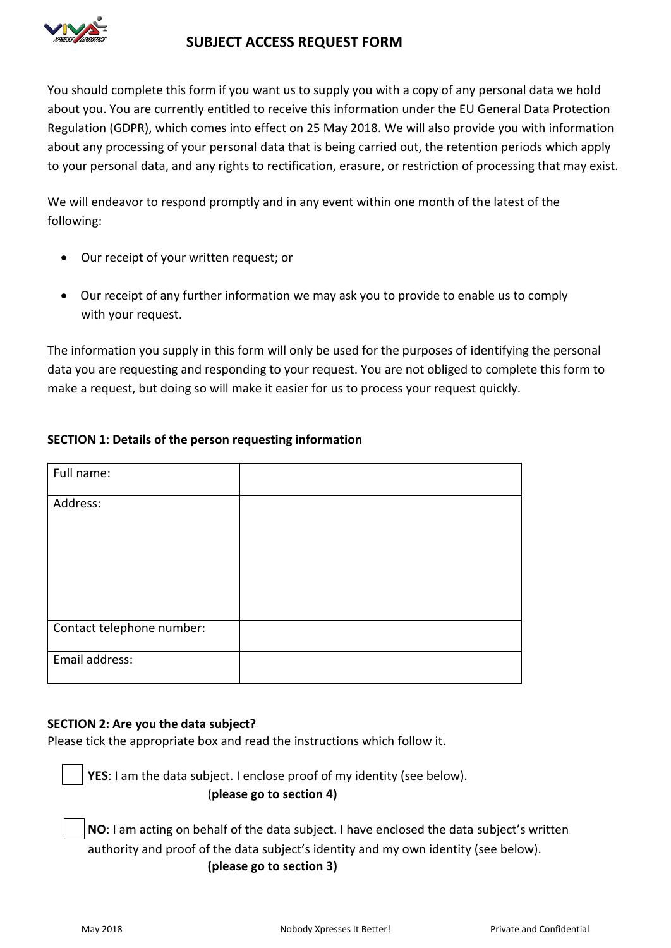

# **SUBJECT ACCESS REQUEST FORM**

You should complete this form if you want us to supply you with a copy of any personal data we hold about you. You are currently entitled to receive this information under the EU General Data Protection Regulation (GDPR), which comes into effect on 25 May 2018. We will also provide you with information about any processing of your personal data that is being carried out, the retention periods which apply to your personal data, and any rights to rectification, erasure, or restriction of processing that may exist.

We will endeavor to respond promptly and in any event within one month of the latest of the following:

- Our receipt of your written request; or
- Our receipt of any further information we may ask you to provide to enable us to comply with your request.

The information you supply in this form will only be used for the purposes of identifying the personal data you are requesting and responding to your request. You are not obliged to complete this form to make a request, but doing so will make it easier for us to process your request quickly.

## **SECTION 1: Details of the person requesting information**

| Full name:                |  |
|---------------------------|--|
| Address:                  |  |
|                           |  |
|                           |  |
|                           |  |
| Contact telephone number: |  |
| Email address:            |  |

#### **SECTION 2: Are you the data subject?**

Please tick the appropriate box and read the instructions which follow it.

**YES**: I am the data subject. I enclose proof of my identity (see below). (**please go to section 4)**

**NO**: I am acting on behalf of the data subject. I have enclosed the data subject's written authority and proof of the data subject's identity and my own identity (see below). **(please go to section 3)**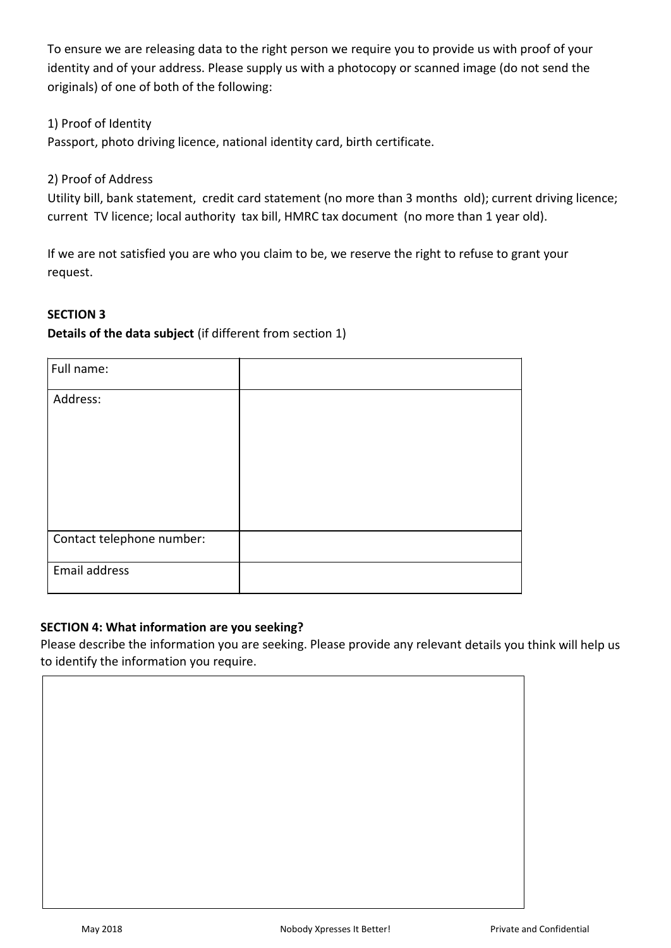To ensure we are releasing data to the right person we require you to provide us with proof of your identity and of your address. Please supply us with a photocopy or scanned image (do not send the originals) of one of both of the following:

1) Proof of Identity

Passport, photo driving licence, national identity card, birth certificate.

2) Proof of Address

Utility bill, bank statement, credit card statement (no more than 3 months old); current driving licence; current TV licence; local authority tax bill, HMRC tax document (no more than 1 year old).

If we are not satisfied you are who you claim to be, we reserve the right to refuse to grant your request.

## **SECTION 3**

## **Details of the data subject** (if different from section 1)

| Full name:                |  |
|---------------------------|--|
| Address:                  |  |
|                           |  |
|                           |  |
|                           |  |
|                           |  |
| Contact telephone number: |  |
| Email address             |  |

## **SECTION 4: What information are you seeking?**

Please describe the information you are seeking. Please provide any relevant details you think will help us to identify the information you require.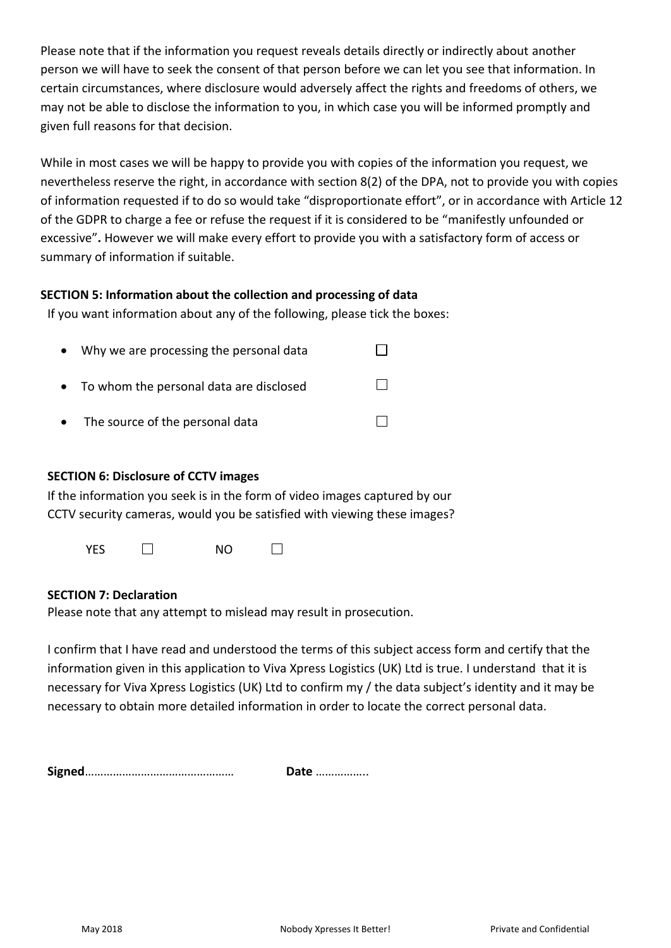Please note that if the information you request reveals details directly or indirectly about another person we will have to seek the consent of that person before we can let you see that information. In certain circumstances, where disclosure would adversely affect the rights and freedoms of others, we may not be able to disclose the information to you, in which case you will be informed promptly and given full reasons for that decision.

While in most cases we will be happy to provide you with copies of the information you request, we nevertheless reserve the right, in accordance with section 8(2) of the DPA, not to provide you with copies of information requested if to do so would take "disproportionate effort", or in accordance with Article 12 of the GDPR to charge a fee or refuse the request if it is considered to be "manifestly unfounded or excessive"**.** However we will make every effort to provide you with a satisfactory form of access or summary of information if suitable.

## **SECTION 5: Information about the collection and processing of data**

If you want information about any of the following, please tick the boxes:

|           | • Why we are processing the personal data |  |
|-----------|-------------------------------------------|--|
|           | • To whom the personal data are disclosed |  |
| $\bullet$ | The source of the personal data           |  |

#### **SECTION 6: Disclosure of CCTV images**

If the information you seek is in the form of video images captured by our CCTV security cameras, would you be satisfied with viewing these images?

YES  $\Box$  NO  $\Box$ 

#### **SECTION 7: Declaration**

Please note that any attempt to mislead may result in prosecution.

I confirm that I have read and understood the terms of this subject access form and certify that the information given in this application to Viva Xpress Logistics (UK) Ltd is true. I understand that it is necessary for Viva Xpress Logistics (UK) Ltd to confirm my / the data subject's identity and it may be necessary to obtain more detailed information in order to locate the correct personal data.

**Signed**………………………………………… **Date** ……………..